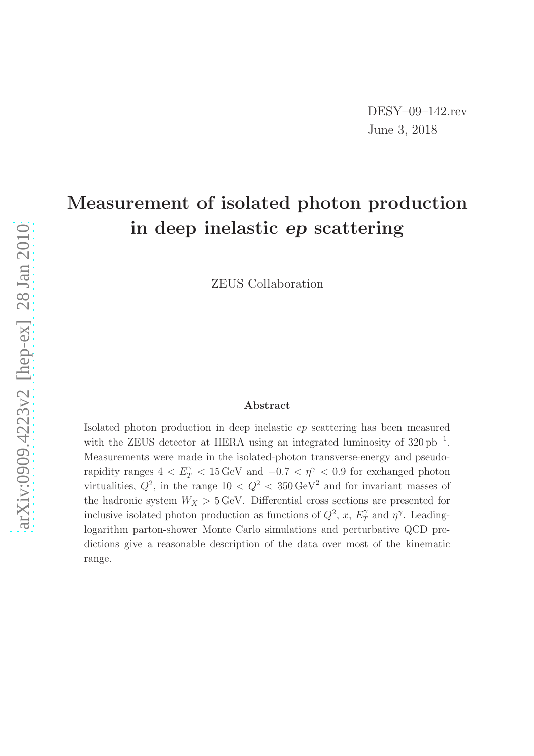# Measurement of isolated photon production in deep inelastic ep scattering

ZEUS Collaboration

#### Abstract

Isolated photon production in deep inelastic ep scattering has been measured with the ZEUS detector at HERA using an integrated luminosity of  $320 \text{ pb}^{-1}$ . Measurements were made in the isolated-photon transverse-energy and pseudorapidity ranges  $4 < E_T^{\gamma} < 15 \,\text{GeV}$  and  $-0.7 < \eta^{\gamma} < 0.9$  for exchanged photon virtualities,  $Q^2$ , in the range  $10 < Q^2 < 350 \,\text{GeV}^2$  and for invariant masses of the hadronic system  $W_X > 5$  GeV. Differential cross sections are presented for inclusive isolated photon production as functions of  $Q^2$ , x,  $E_T^{\gamma}$  $T \nightharpoonup T$  and  $\eta^{\gamma}$ . Leadinglogarithm parton-shower Monte Carlo simulations and perturbative QCD predictions give a reasonable description of the data over most of the kinematic range.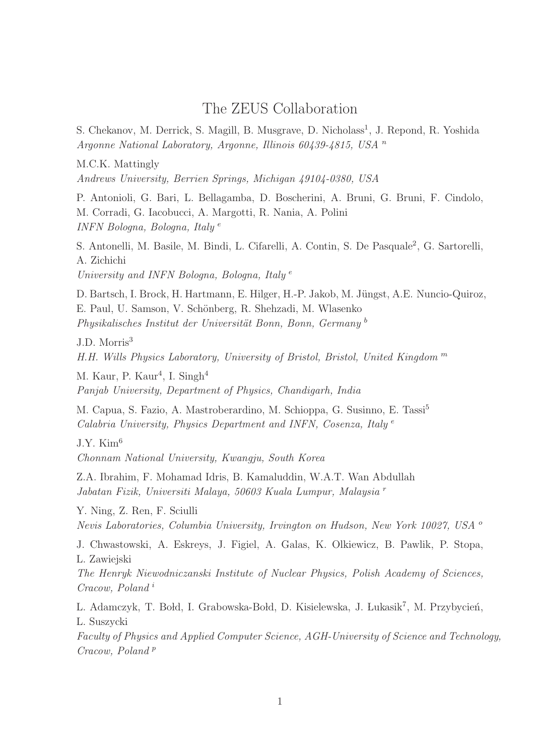# The ZEUS Collaboration

S. Chekanov, M. Derrick, S. Magill, B. Musgrave, D. Nicholass<sup>1</sup>, J. Repond, R. Yoshida Argonne National Laboratory, Argonne, Illinois 60439-4815, USA <sup>n</sup>

M.C.K. Mattingly

Andrews University, Berrien Springs, Michigan 49104-0380, USA

P. Antonioli, G. Bari, L. Bellagamba, D. Boscherini, A. Bruni, G. Bruni, F. Cindolo, M. Corradi, G. Iacobucci, A. Margotti, R. Nania, A. Polini INFN Bologna, Bologna, Italy <sup>e</sup>

S. Antonelli, M. Basile, M. Bindi, L. Cifarelli, A. Contin, S. De Pasquale<sup>2</sup>, G. Sartorelli, A. Zichichi

University and INFN Bologna, Bologna, Italy<sup>e</sup>

D. Bartsch, I. Brock, H. Hartmann, E. Hilger, H.-P. Jakob, M. Jüngst, A.E. Nuncio-Quiroz, E. Paul, U. Samson, V. Schönberg, R. Shehzadi, M. Wlasenko Physikalisches Institut der Universität Bonn, Bonn, Germany<sup>b</sup>

J.D. Morris<sup>3</sup>

H.H. Wills Physics Laboratory, University of Bristol, Bristol, United Kingdom <sup>m</sup>

M. Kaur, P. Kaur<sup>4</sup>, I. Singh<sup>4</sup> Panjab University, Department of Physics, Chandigarh, India

M. Capua, S. Fazio, A. Mastroberardino, M. Schioppa, G. Susinno, E. Tassi<sup>5</sup> Calabria University, Physics Department and INFN, Cosenza, Italy<sup>e</sup>

 $J.Y.$  Kim<sup>6</sup>

Chonnam National University, Kwangju, South Korea

Z.A. Ibrahim, F. Mohamad Idris, B. Kamaluddin, W.A.T. Wan Abdullah Jabatan Fizik, Universiti Malaya, 50603 Kuala Lumpur, Malaysia <sup>r</sup>

Y. Ning, Z. Ren, F. Sciulli Nevis Laboratories, Columbia University, Irvington on Hudson, New York 10027, USA <sup>o</sup>

J. Chwastowski, A. Eskreys, J. Figiel, A. Galas, K. Olkiewicz, B. Pawlik, P. Stopa, L. Zawiejski

The Henryk Niewodniczanski Institute of Nuclear Physics, Polish Academy of Sciences, Cracow, Poland <sup>i</sup>

L. Adamczyk, T. Bołd, I. Grabowska-Bołd, D. Kisielewska, J. Łukasik<sup>7</sup>, M. Przybycień, L. Suszycki

Faculty of Physics and Applied Computer Science, AGH-University of Science and Technology,  $Cracow, Poland$ <sup>p</sup>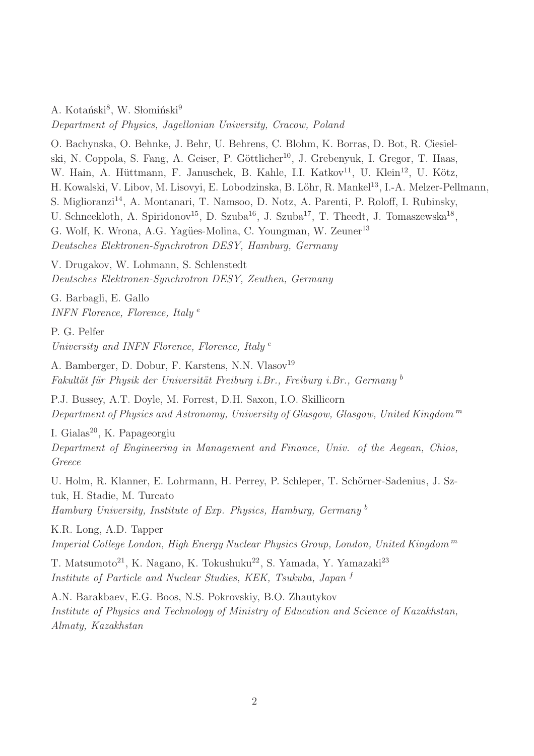A. Kotański<sup>8</sup>, W. Słomiński<sup>9</sup> Department of Physics, Jagellonian University, Cracow, Poland

O. Bachynska, O. Behnke, J. Behr, U. Behrens, C. Blohm, K. Borras, D. Bot, R. Ciesielski, N. Coppola, S. Fang, A. Geiser, P. Göttlicher<sup>10</sup>, J. Grebenyuk, I. Gregor, T. Haas, W. Hain, A. Hüttmann, F. Januschek, B. Kahle, I.I. Katkov<sup>11</sup>, U. Klein<sup>12</sup>, U. Kötz, H. Kowalski, V. Libov, M. Lisovyi, E. Lobodzinska, B. Löhr, R. Mankel<sup>13</sup>, I.-A. Melzer-Pellmann, S. Miglioranzi<sup>14</sup>, A. Montanari, T. Namsoo, D. Notz, A. Parenti, P. Roloff, I. Rubinsky, U. Schneekloth, A. Spiridonov<sup>15</sup>, D. Szuba<sup>16</sup>, J. Szuba<sup>17</sup>, T. Theedt, J. Tomaszewska<sup>18</sup>, G. Wolf, K. Wrona, A.G. Yagües-Molina, C. Youngman, W. Zeuner<sup>13</sup> Deutsches Elektronen-Synchrotron DESY, Hamburg, Germany

V. Drugakov, W. Lohmann, S. Schlenstedt Deutsches Elektronen-Synchrotron DESY, Zeuthen, Germany

G. Barbagli, E. Gallo INFN Florence, Florence, Italy<sup>e</sup>

P. G. Pelfer University and INFN Florence, Florence, Italy<sup>e</sup>

A. Bamberger, D. Dobur, F. Karstens, N.N. Vlasov<sup>19</sup> Fakultät für Physik der Universität Freiburg i.Br., Freiburg i.Br., Germany b

P.J. Bussey, A.T. Doyle, M. Forrest, D.H. Saxon, I.O. Skillicorn Department of Physics and Astronomy, University of Glasgow, Glasgow, United Kingdom<sup>m</sup>

I. Gialas<sup>20</sup>, K. Papageorgiu

Department of Engineering in Management and Finance, Univ. of the Aegean, Chios, Greece

U. Holm, R. Klanner, E. Lohrmann, H. Perrey, P. Schleper, T. Schörner-Sadenius, J. Sztuk, H. Stadie, M. Turcato Hamburg University, Institute of Exp. Physics, Hamburg, Germany <sup>b</sup>

K.R. Long, A.D. Tapper Imperial College London, High Energy Nuclear Physics Group, London, United Kingdom <sup>m</sup>

T. Matsumoto<sup>21</sup>, K. Nagano, K. Tokushuku<sup>22</sup>, S. Yamada, Y. Yamazaki<sup>23</sup> Institute of Particle and Nuclear Studies, KEK, Tsukuba, Japan <sup>f</sup>

A.N. Barakbaev, E.G. Boos, N.S. Pokrovskiy, B.O. Zhautykov Institute of Physics and Technology of Ministry of Education and Science of Kazakhstan, Almaty, Kazakhstan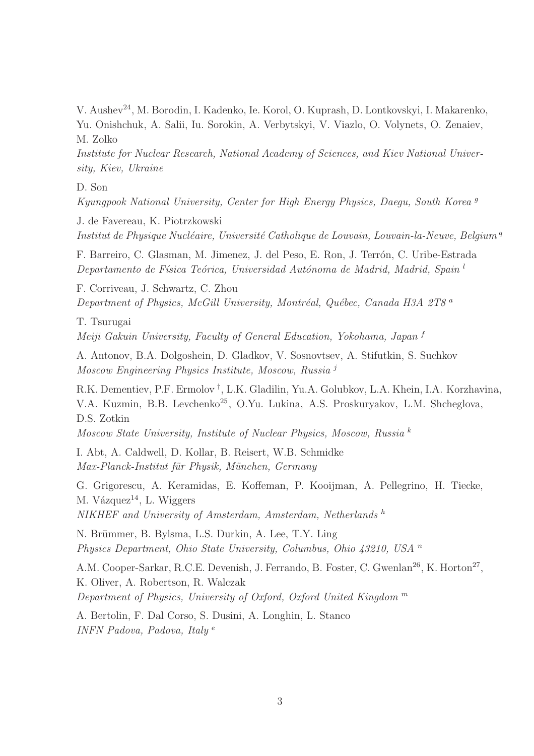V. Aushev<sup>24</sup>, M. Borodin, I. Kadenko, Ie. Korol, O. Kuprash, D. Lontkovskyi, I. Makarenko, Yu. Onishchuk, A. Salii, Iu. Sorokin, A. Verbytskyi, V. Viazlo, O. Volynets, O. Zenaiev, M. Zolko

Institute for Nuclear Research, National Academy of Sciences, and Kiev National University, Kiev, Ukraine

#### D. Son

Kyungpook National University, Center for High Energy Physics, Daegu, South Korea <sup>g</sup>

J. de Favereau, K. Piotrzkowski Institut de Physique Nucléaire, Université Catholique de Louvain, Louvain-la-Neuve, Belgium<sup>q</sup>

F. Barreiro, C. Glasman, M. Jimenez, J. del Peso, E. Ron, J. Terrón, C. Uribe-Estrada Departamento de Física Teórica, Universidad Autónoma de Madrid, Madrid, Spain<sup>l</sup>

F. Corriveau, J. Schwartz, C. Zhou Department of Physics, McGill University, Montréal, Québec, Canada H3A 2T8<sup>a</sup>

T. Tsurugai Meiji Gakuin University, Faculty of General Education, Yokohama, Japan <sup>f</sup>

A. Antonov, B.A. Dolgoshein, D. Gladkov, V. Sosnovtsev, A. Stifutkin, S. Suchkov Moscow Engineering Physics Institute, Moscow, Russia <sup>j</sup>

R.K. Dementiev, P.F. Ermolov † , L.K. Gladilin, Yu.A. Golubkov, L.A. Khein, I.A. Korzhavina, V.A. Kuzmin, B.B. Levchenko<sup>25</sup>, O.Yu. Lukina, A.S. Proskuryakov, L.M. Shcheglova, D.S. Zotkin

Moscow State University, Institute of Nuclear Physics, Moscow, Russia  $^k$ 

I. Abt, A. Caldwell, D. Kollar, B. Reisert, W.B. Schmidke Max-Planck-Institut für Physik, München, Germany

G. Grigorescu, A. Keramidas, E. Koffeman, P. Kooijman, A. Pellegrino, H. Tiecke, M. Vázquez $^{14}$ , L. Wiggers NIKHEF and University of Amsterdam, Amsterdam, Netherlands h

N. Brümmer, B. Bylsma, L.S. Durkin, A. Lee, T.Y. Ling Physics Department, Ohio State University, Columbus, Ohio 43210, USA <sup>n</sup>

A.M. Cooper-Sarkar, R.C.E. Devenish, J. Ferrando, B. Foster, C. Gwenlan<sup>26</sup>, K. Horton<sup>27</sup>, K. Oliver, A. Robertson, R. Walczak Department of Physics, University of Oxford, Oxford United Kingdom  $<sup>m</sup>$ </sup>

A. Bertolin, F. Dal Corso, S. Dusini, A. Longhin, L. Stanco INFN Padova, Padova, Italy <sup>e</sup>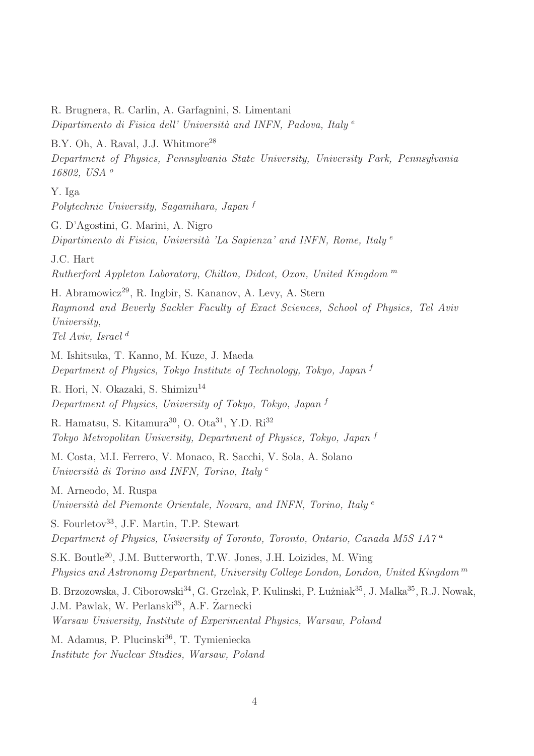R. Brugnera, R. Carlin, A. Garfagnini, S. Limentani Dipartimento di Fisica dell' Università and INFN, Padova, Italy  $e$ B.Y. Oh, A. Raval, J.J. Whitmore<sup>28</sup> Department of Physics, Pennsylvania State University, University Park, Pennsylvania 16802, USA <sup>o</sup> Y. Iga Polytechnic University, Sagamihara, Japan <sup>f</sup> G. D'Agostini, G. Marini, A. Nigro Dipartimento di Fisica, Università 'La Sapienza' and INFN, Rome, Italy  $e$ J.C. Hart Rutherford Appleton Laboratory, Chilton, Didcot, Oxon, United Kingdom  $<sup>m</sup>$ </sup> H. Abramowicz<sup>29</sup>, R. Ingbir, S. Kananov, A. Levy, A. Stern Raymond and Beverly Sackler Faculty of Exact Sciences, School of Physics, Tel Aviv University, Tel Aviv, Israel <sup>d</sup> M. Ishitsuka, T. Kanno, M. Kuze, J. Maeda Department of Physics, Tokyo Institute of Technology, Tokyo, Japan <sup>f</sup> R. Hori, N. Okazaki, S. Shimizu<sup>14</sup> Department of Physics, University of Tokyo, Tokyo, Japan <sup>f</sup> R. Hamatsu, S. Kitamura<sup>30</sup>, O. Ota<sup>31</sup>, Y.D. Ri<sup>32</sup> Tokyo Metropolitan University, Department of Physics, Tokyo, Japan <sup>f</sup> M. Costa, M.I. Ferrero, V. Monaco, R. Sacchi, V. Sola, A. Solano Università di Torino and INFN, Torino, Italy  $e$ M. Arneodo, M. Ruspa Università del Piemonte Orientale, Novara, and INFN, Torino, Italy  $e$ S. Fourletov<sup>33</sup>, J.F. Martin, T.P. Stewart Department of Physics, University of Toronto, Toronto, Ontario, Canada M5S 1A7 <sup>a</sup> S.K. Boutle<sup>20</sup>, J.M. Butterworth, T.W. Jones, J.H. Loizides, M. Wing Physics and Astronomy Department, University College London, London, United Kingdom <sup>m</sup> B. Brzozowska, J. Ciborowski<sup>34</sup>, G. Grzelak, P. Kulinski, P. Łużniak<sup>35</sup>, J. Malka<sup>35</sup>, R.J. Nowak, J.M. Pawlak, W. Perlanski<sup>35</sup>, A.F. Zarnecki Warsaw University, Institute of Experimental Physics, Warsaw, Poland M. Adamus, P. Plucinski<sup>36</sup>, T. Tymieniecka Institute for Nuclear Studies, Warsaw, Poland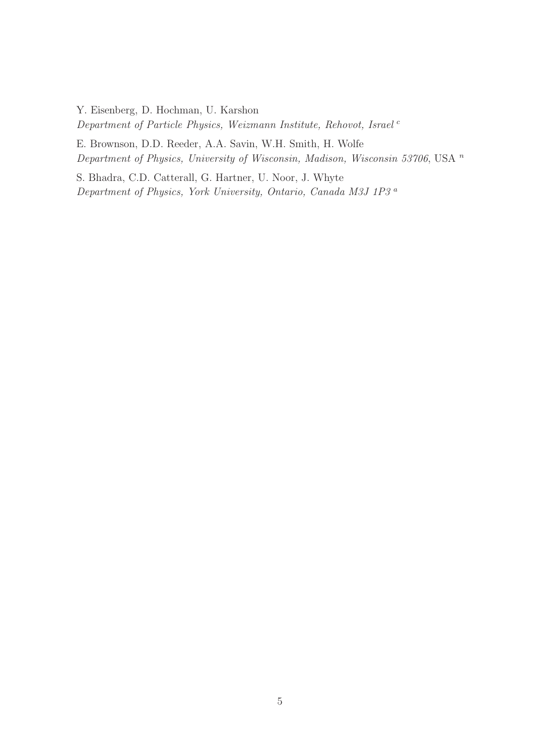Y. Eisenberg, D. Hochman, U. Karshon

Department of Particle Physics, Weizmann Institute, Rehovot, Israel<sup>c</sup>

E. Brownson, D.D. Reeder, A.A. Savin, W.H. Smith, H. Wolfe Department of Physics, University of Wisconsin, Madison, Wisconsin 53706, USA<sup>n</sup>

S. Bhadra, C.D. Catterall, G. Hartner, U. Noor, J. Whyte Department of Physics, York University, Ontario, Canada M3J 1P3 <sup>a</sup>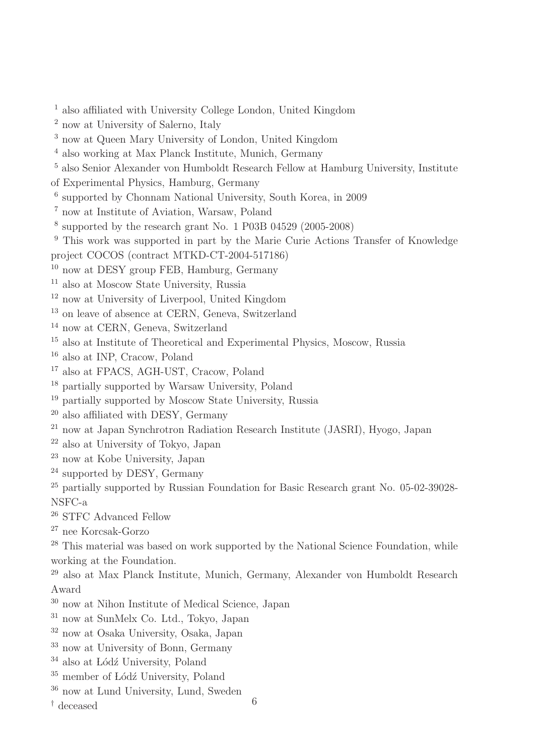- also affiliated with University College London, United Kingdom
- now at University of Salerno, Italy
- now at Queen Mary University of London, United Kingdom
- also working at Max Planck Institute, Munich, Germany
- also Senior Alexander von Humboldt Research Fellow at Hamburg University, Institute
- of Experimental Physics, Hamburg, Germany
- supported by Chonnam National University, South Korea, in 2009
- now at Institute of Aviation, Warsaw, Poland
- supported by the research grant No. 1 P03B 04529 (2005-2008)
- This work was supported in part by the Marie Curie Actions Transfer of Knowledge
- project COCOS (contract MTKD-CT-2004-517186)
- now at DESY group FEB, Hamburg, Germany
- also at Moscow State University, Russia
- now at University of Liverpool, United Kingdom
- on leave of absence at CERN, Geneva, Switzerland
- now at CERN, Geneva, Switzerland
- also at Institute of Theoretical and Experimental Physics, Moscow, Russia
- also at INP, Cracow, Poland
- also at FPACS, AGH-UST, Cracow, Poland
- partially supported by Warsaw University, Poland
- partially supported by Moscow State University, Russia
- also affiliated with DESY, Germany
- now at Japan Synchrotron Radiation Research Institute (JASRI), Hyogo, Japan
- also at University of Tokyo, Japan
- now at Kobe University, Japan
- supported by DESY, Germany
- <sup>25</sup> partially supported by Russian Foundation for Basic Research grant No. 05-02-39028-NSFC-a
- STFC Advanced Fellow
- nee Korcsak-Gorzo
- <sup>28</sup> This material was based on work supported by the National Science Foundation, while working at the Foundation.
- also at Max Planck Institute, Munich, Germany, Alexander von Humboldt Research Award
- now at Nihon Institute of Medical Science, Japan
- now at SunMelx Co. Ltd., Tokyo, Japan
- now at Osaka University, Osaka, Japan
- now at University of Bonn, Germany
- also at Lódź University, Poland
- member of Lódź University, Poland
- now at Lund University, Lund, Sweden  $\uparrow$  deceased 6
-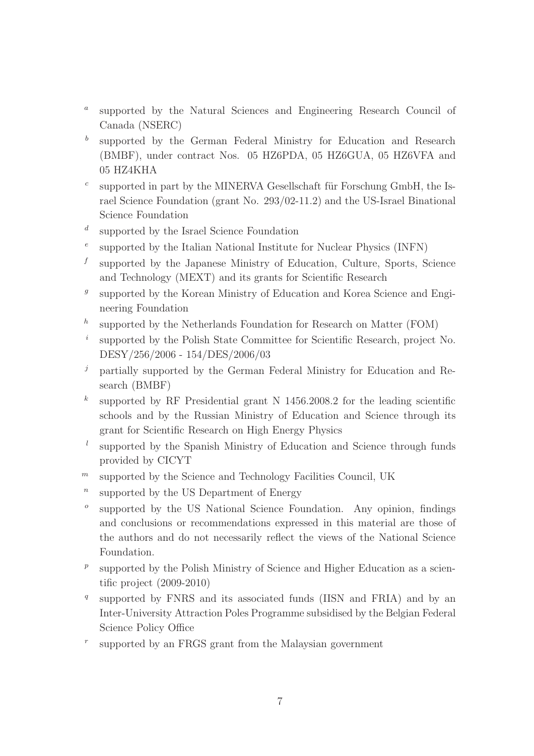- $\boldsymbol{a}$ supported by the Natural Sciences and Engineering Research Council of Canada (NSERC)
- b supported by the German Federal Ministry for Education and Research (BMBF), under contract Nos. 05 HZ6PDA, 05 HZ6GUA, 05 HZ6VFA and 05 HZ4KHA
- c supported in part by the MINERVA Gesellschaft für Forschung GmbH, the Israel Science Foundation (grant No. 293/02-11.2) and the US-Israel Binational Science Foundation
- d supported by the Israel Science Foundation
- e supported by the Italian National Institute for Nuclear Physics (INFN)
- f supported by the Japanese Ministry of Education, Culture, Sports, Science and Technology (MEXT) and its grants for Scientific Research
- g supported by the Korean Ministry of Education and Korea Science and Engineering Foundation
- h supported by the Netherlands Foundation for Research on Matter (FOM)
- i supported by the Polish State Committee for Scientific Research, project No. DESY/256/2006 - 154/DES/2006/03
- $j$  partially supported by the German Federal Ministry for Education and Research (BMBF)
- k supported by RF Presidential grant N 1456.2008.2 for the leading scientific schools and by the Russian Ministry of Education and Science through its grant for Scientific Research on High Energy Physics
- l supported by the Spanish Ministry of Education and Science through funds provided by CICYT
- $<sup>m</sup>$  supported by the Science and Technology Facilities Council, UK</sup>
- n supported by the US Department of Energy
- o supported by the US National Science Foundation. Any opinion, findings and conclusions or recommendations expressed in this material are those of the authors and do not necessarily reflect the views of the National Science Foundation.
- p supported by the Polish Ministry of Science and Higher Education as a scientific project (2009-2010)
- q supported by FNRS and its associated funds (IISN and FRIA) and by an Inter-University Attraction Poles Programme subsidised by the Belgian Federal Science Policy Office
- r supported by an FRGS grant from the Malaysian government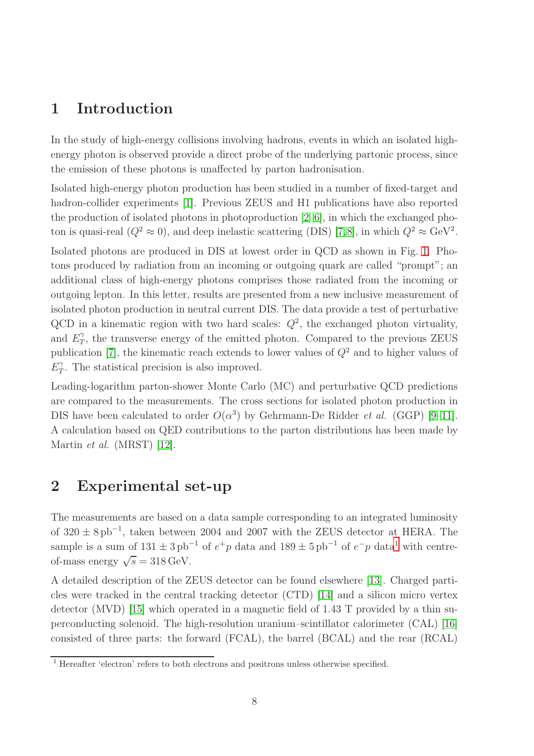# 1 Introduction

In the study of high-energy collisions involving hadrons, events in which an isolated highenergy photon is observed provide a direct probe of the underlying partonic process, since the emission of these photons is unaffected by parton hadronisation.

Isolated high-energy photon production has been studied in a number of fixed-target and hadron-collider experiments [1]. Previous ZEUS and H1 publications have also reported the production of isolated photons in photoproduction [2–6], in which the exchanged photon is quasi-real  $(Q^2 \approx 0)$ , and deep inelastic scattering (DIS) [7,8], in which  $Q^2 \approx \text{GeV}^2$ . Isolated photons are produced in DIS at lowest order in QCD as shown in Fig. [1.](#page-20-0) Photons produced by radiation from an incoming or outgoing quark are called "prompt"; an additional class of high-energy photons comprises those radiated from the incoming or outgoing lepton. In this letter, results are presented from a new inclusive measurement of isolated photon production in neutral current DIS. The data provide a test of perturbative QCD in a kinematic region with two hard scales:  $Q^2$ , the exchanged photon virtuality, and  $E_T^{\gamma}$  $T$ , the transverse energy of the emitted photon. Compared to the previous ZEUS publication [7], the kinematic reach extends to lower values of  $Q^2$  and to higher values of  $E_T^{\gamma}$  $T$ . The statistical precision is also improved.

Leading-logarithm parton-shower Monte Carlo (MC) and perturbative QCD predictions are compared to the measurements. The cross sections for isolated photon production in DIS have been calculated to order  $O(\alpha^3)$  by Gehrmann-De Ridder *et al.* (GGP) [9-11]. A calculation based on QED contributions to the parton distributions has been made by Martin et al. (MRST) [12].

# 2 Experimental set-up

The measurements are based on a data sample corresponding to an integrated luminosity of  $320 \pm 8 \text{ pb}^{-1}$ , taken between 2004 and 2007 with the ZEUS detector at HERA. The sample is a sum of  $131 \pm 3 \text{ pb}^{-1}$  $131 \pm 3 \text{ pb}^{-1}$  of  $e^+p$  data and  $189 \pm 5 \text{ pb}^{-1}$  of  $e^-p$  data<sup>1</sup> with centreof-mass energy  $\sqrt{s} = 318 \,\text{GeV}$ .

A detailed description of the ZEUS detector can be found elsewhere [13]. Charged particles were tracked in the central tracking detector (CTD) [14] and a silicon micro vertex detector (MVD) [15] which operated in a magnetic field of 1.43 T provided by a thin superconducting solenoid. The high-resolution uranium–scintillator calorimeter (CAL) [16] consisted of three parts: the forward (FCAL), the barrel (BCAL) and the rear (RCAL)

<span id="page-8-0"></span><sup>&</sup>lt;sup>1</sup> Hereafter 'electron' refers to both electrons and positrons unless otherwise specified.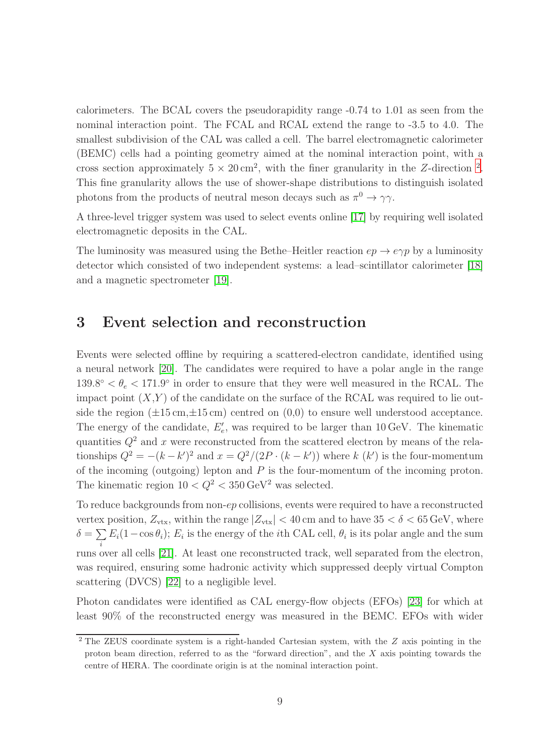calorimeters. The BCAL covers the pseudorapidity range -0.74 to 1.01 as seen from the nominal interaction point. The FCAL and RCAL extend the range to -3.5 to 4.0. The smallest subdivision of the CAL was called a cell. The barrel electromagnetic calorimeter (BEMC) cells had a pointing geometry aimed at the nominal interaction point, with a cross section approximately  $5 \times 20 \text{ cm}^2$  $5 \times 20 \text{ cm}^2$  $5 \times 20 \text{ cm}^2$ , with the finer granularity in the Z-direction <sup>2</sup>. This fine granularity allows the use of shower-shape distributions to distinguish isolated photons from the products of neutral meson decays such as  $\pi^0 \to \gamma \gamma$ .

A three-level trigger system was used to select events online [17] by requiring well isolated electromagnetic deposits in the CAL.

The luminosity was measured using the Bethe–Heitler reaction  $ep \rightarrow e\gamma p$  by a luminosity detector which consisted of two independent systems: a lead–scintillator calorimeter [18] and a magnetic spectrometer [19].

#### <span id="page-9-1"></span>3 Event selection and reconstruction

Events were selected offline by requiring a scattered-electron candidate, identified using a neural network [20]. The candidates were required to have a polar angle in the range  $139.8^{\circ} < \theta_e < 171.9^{\circ}$  in order to ensure that they were well measured in the RCAL. The impact point  $(X,Y)$  of the candidate on the surface of the RCAL was required to lie outside the region  $(\pm 15 \,\mathrm{cm}, \pm 15 \,\mathrm{cm})$  centred on  $(0,0)$  to ensure well understood acceptance. The energy of the candidate,  $E'_{e}$ , was required to be larger than 10 GeV. The kinematic quantities  $Q^2$  and x were reconstructed from the scattered electron by means of the relationships  $Q^2 = -(k - k')^2$  and  $x = Q^2/(2P \cdot (k - k'))$  where k  $(k')$  is the four-momentum of the incoming (outgoing) lepton and  $P$  is the four-momentum of the incoming proton. The kinematic region  $10 < Q^2 < 350 \,\text{GeV}^2$  was selected.

To reduce backgrounds from non-ep collisions, events were required to have a reconstructed vertex position,  $Z_{\text{vtx}}$ , within the range  $|Z_{\text{vtx}}| < 40$  cm and to have  $35 < \delta < 65$  GeV, where  $\delta = \sum$  $\sum_i E_i(1-\cos\theta_i); E_i$  is the energy of the *i*th CAL cell,  $\theta_i$  is its polar angle and the sum runs over all cells [21]. At least one reconstructed track, well separated from the electron, was required, ensuring some hadronic activity which suppressed deeply virtual Compton scattering (DVCS) [22] to a negligible level.

Photon candidates were identified as CAL energy-flow objects (EFOs) [23] for which at least 90% of the reconstructed energy was measured in the BEMC. EFOs with wider

<span id="page-9-0"></span><sup>&</sup>lt;sup>2</sup> The ZEUS coordinate system is a right-handed Cartesian system, with the Z axis pointing in the proton beam direction, referred to as the "forward direction", and the  $X$  axis pointing towards the centre of HERA. The coordinate origin is at the nominal interaction point.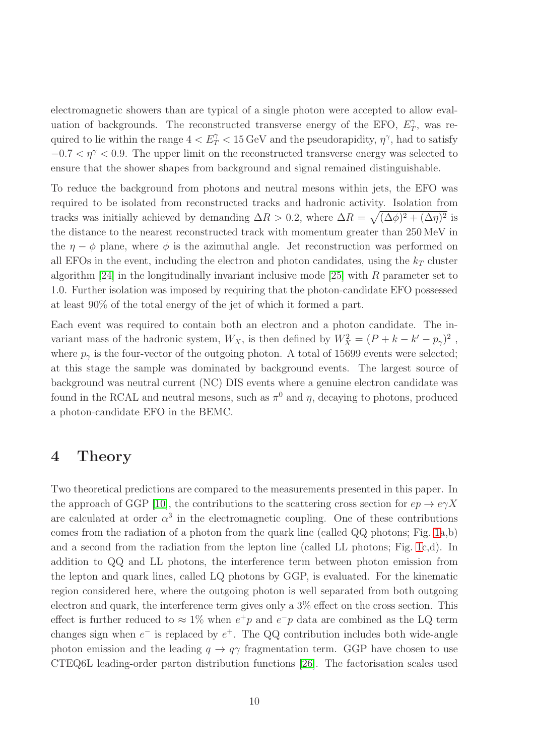electromagnetic showers than are typical of a single photon were accepted to allow evaluation of backgrounds. The reconstructed transverse energy of the EFO,  $E_T^{\gamma}$  $T$ <sup>7</sup>, was required to lie within the range  $4 < E_T^{\gamma} < 15 \,\text{GeV}$  and the pseudorapidity,  $\eta^{\gamma}$ , had to satisfy  $-0.7 < \eta^{\gamma} < 0.9$ . The upper limit on the reconstructed transverse energy was selected to ensure that the shower shapes from background and signal remained distinguishable.

To reduce the background from photons and neutral mesons within jets, the EFO was required to be isolated from reconstructed tracks and hadronic activity. Isolation from tracks was initially achieved by demanding  $\Delta R > 0.2$ , where  $\Delta R = \sqrt{(\Delta \phi)^2 + (\Delta \eta)^2}$  is the distance to the nearest reconstructed track with momentum greater than 250 MeV in the  $\eta - \phi$  plane, where  $\phi$  is the azimuthal angle. Jet reconstruction was performed on all EFOs in the event, including the electron and photon candidates, using the  $k_T$  cluster algorithm [24] in the longitudinally invariant inclusive mode [25] with R parameter set to 1.0. Further isolation was imposed by requiring that the photon-candidate EFO possessed at least 90% of the total energy of the jet of which it formed a part.

Each event was required to contain both an electron and a photon candidate. The invariant mass of the hadronic system,  $W_X$ , is then defined by  $W_X^2 = (P + k - k' - p_\gamma)^2$ , where  $p_{\gamma}$  is the four-vector of the outgoing photon. A total of 15699 events were selected; at this stage the sample was dominated by background events. The largest source of background was neutral current (NC) DIS events where a genuine electron candidate was found in the RCAL and neutral mesons, such as  $\pi^0$  and  $\eta$ , decaying to photons, produced a photon-candidate EFO in the BEMC.

### <span id="page-10-0"></span>4 Theory

Two theoretical predictions are compared to the measurements presented in this paper. In the approach of GGP [10], the contributions to the scattering cross section for  $ep \rightarrow e\gamma X$ are calculated at order  $\alpha^3$  in the electromagnetic coupling. One of these contributions comes from the radiation of a photon from the quark line (called QQ photons; Fig. [1a](#page-20-0),b) and a second from the radiation from the lepton line (called LL photons; Fig. [1c](#page-20-0),d). In addition to QQ and LL photons, the interference term between photon emission from the lepton and quark lines, called LQ photons by GGP, is evaluated. For the kinematic region considered here, where the outgoing photon is well separated from both outgoing electron and quark, the interference term gives only a 3% effect on the cross section. This effect is further reduced to  $\approx 1\%$  when  $e^+p$  and  $e^-p$  data are combined as the LQ term changes sign when  $e^-$  is replaced by  $e^+$ . The QQ contribution includes both wide-angle photon emission and the leading  $q \to q\gamma$  fragmentation term. GGP have chosen to use CTEQ6L leading-order parton distribution functions [26]. The factorisation scales used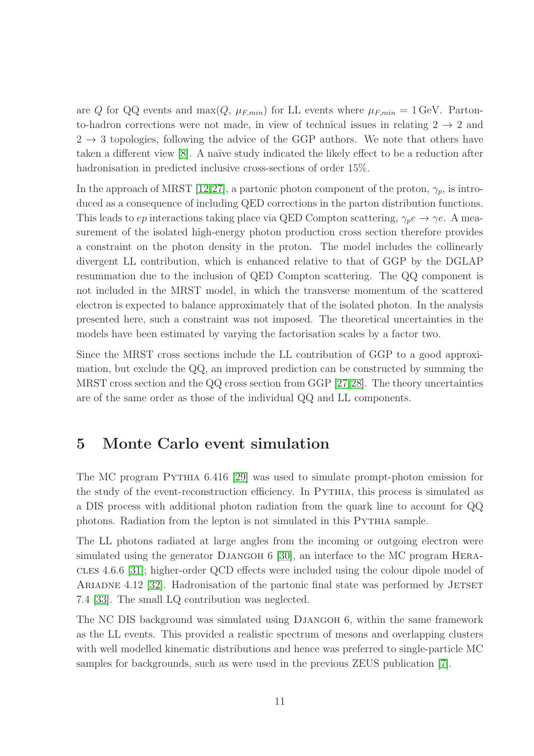are Q for QQ events and max( $Q$ ,  $\mu_{F,min}$ ) for LL events where  $\mu_{F,min} = 1$  GeV. Partonto-hadron corrections were not made, in view of technical issues in relating  $2 \rightarrow 2$  and  $2 \rightarrow 3$  topologies, following the advice of the GGP authors. We note that others have taken a different view [8]. A naïve study indicated the likely effect to be a reduction after hadronisation in predicted inclusive cross-sections of order 15%.

In the approach of MRST [12,27], a partonic photon component of the proton,  $\gamma_p$ , is introduced as a consequence of including QED corrections in the parton distribution functions. This leads to *ep* interactions taking place via QED Compton scattering,  $\gamma_p e \to \gamma e$ . A measurement of the isolated high-energy photon production cross section therefore provides a constraint on the photon density in the proton. The model includes the collinearly divergent LL contribution, which is enhanced relative to that of GGP by the DGLAP resummation due to the inclusion of QED Compton scattering. The QQ component is not included in the MRST model, in which the transverse momentum of the scattered electron is expected to balance approximately that of the isolated photon. In the analysis presented here, such a constraint was not imposed. The theoretical uncertainties in the models have been estimated by varying the factorisation scales by a factor two.

Since the MRST cross sections include the LL contribution of GGP to a good approximation, but exclude the QQ, an improved prediction can be constructed by summing the MRST cross section and the QQ cross section from GGP [27,28]. The theory uncertainties are of the same order as those of the individual QQ and LL components.

### <span id="page-11-0"></span>5 Monte Carlo event simulation

The MC program Pythia 6.416 [29] was used to simulate prompt-photon emission for the study of the event-reconstruction efficiency. In PYTHIA, this process is simulated as a DIS process with additional photon radiation from the quark line to account for QQ photons. Radiation from the lepton is not simulated in this PYTHIA sample.

The LL photons radiated at large angles from the incoming or outgoing electron were simulated using the generator DJANGOH 6 [30], an interface to the MC program HERAcles 4.6.6 [31]; higher-order QCD effects were included using the colour dipole model of ARIADNE 4.12 [32]. Hadronisation of the partonic final state was performed by JETSET 7.4 [33]. The small LQ contribution was neglected.

The NC DIS background was simulated using DJANGOH 6, within the same framework as the LL events. This provided a realistic spectrum of mesons and overlapping clusters with well modelled kinematic distributions and hence was preferred to single-particle MC samples for backgrounds, such as were used in the previous ZEUS publication [7].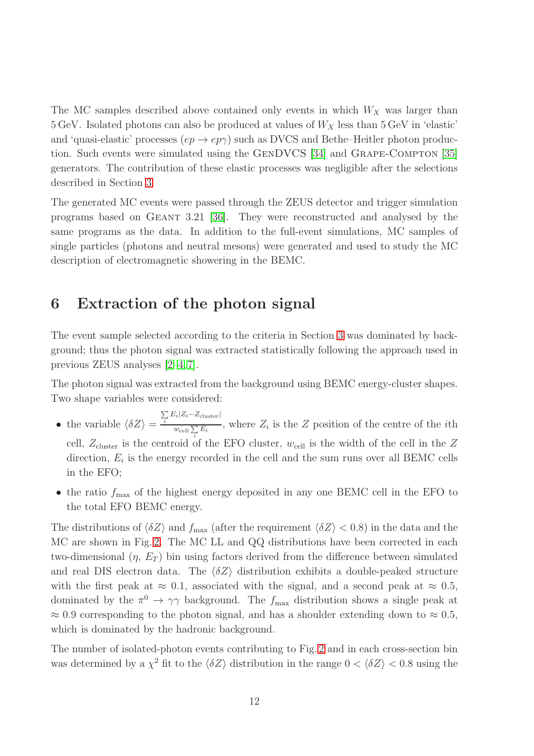The MC samples described above contained only events in which  $W_X$  was larger than  $5 \text{ GeV}$ . Isolated photons can also be produced at values of  $W_X$  less than  $5 \text{ GeV}$  in 'elastic' and 'quasi-elastic' processes  $(ep \rightarrow ep\gamma)$  such as DVCS and Bethe–Heitler photon production. Such events were simulated using the GENDVCS [34] and GRAPE-COMPTON [35] generators. The contribution of these elastic processes was negligible after the selections described in Section [3.](#page-9-1)

The generated MC events were passed through the ZEUS detector and trigger simulation programs based on Geant 3.21 [36]. They were reconstructed and analysed by the same programs as the data. In addition to the full-event simulations, MC samples of single particles (photons and neutral mesons) were generated and used to study the MC description of electromagnetic showering in the BEMC.

## 6 Extraction of the photon signal

The event sample selected according to the criteria in Section [3](#page-9-1) was dominated by background; thus the photon signal was extracted statistically following the approach used in previous ZEUS analyses [2–4, 7].

The photon signal was extracted from the background using BEMC energy-cluster shapes. Two shape variables were considered:

- the variable  $\langle \delta Z \rangle =$  $\sum_i E_i |Z_i - Z_{\text{cluster}}|$  $\frac{w_{\text{cell}}\sum_{i} E_i}{w_{\text{cell}}\sum_{i} E_i}$ , where  $Z_i$  is the Z position of the centre of the *i*th cell,  $Z_{\text{cluster}}$  is the centroid of the EFO cluster,  $w_{\text{cell}}$  is the width of the cell in the Z direction,  $E_i$  is the energy recorded in the cell and the sum runs over all BEMC cells in the EFO;
- the ratio  $f_{\text{max}}$  of the highest energy deposited in any one BEMC cell in the EFO to the total EFO BEMC energy.

The distributions of  $\langle \delta Z \rangle$  and  $f_{\text{max}}$  (after the requirement  $\langle \delta Z \rangle < 0.8$ ) in the data and the MC are shown in Fig. [2.](#page-21-0) The MC LL and QQ distributions have been corrected in each two-dimensional  $(\eta, E_T)$  bin using factors derived from the difference between simulated and real DIS electron data. The  $\langle \delta Z \rangle$  distribution exhibits a double-peaked structure with the first peak at  $\approx 0.1$ , associated with the signal, and a second peak at  $\approx 0.5$ , dominated by the  $\pi^0 \to \gamma \gamma$  background. The  $f_{\text{max}}$  distribution shows a single peak at  $\approx 0.9$  corresponding to the photon signal, and has a shoulder extending down to  $\approx 0.5$ , which is dominated by the hadronic background.

The number of isolated-photon events contributing to Fig. [2](#page-21-0) and in each cross-section bin was determined by a  $\chi^2$  fit to the  $\langle \delta Z \rangle$  distribution in the range  $0 < \langle \delta Z \rangle < 0.8$  using the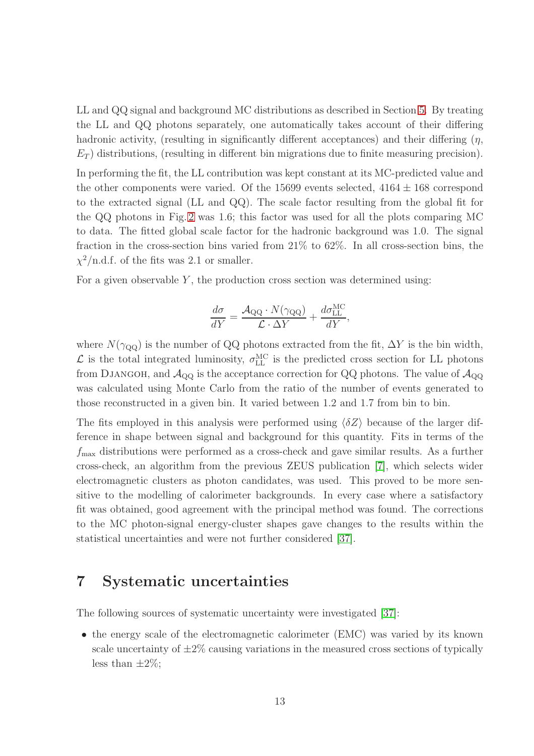LL and QQ signal and background MC distributions as described in Section [5.](#page-11-0) By treating the LL and QQ photons separately, one automatically takes account of their differing hadronic activity, (resulting in significantly different acceptances) and their differing  $(\eta, \eta)$  $E_T$ ) distributions, (resulting in different bin migrations due to finite measuring precision).

In performing the fit, the LL contribution was kept constant at its MC-predicted value and the other components were varied. Of the 15699 events selected,  $4164 \pm 168$  correspond to the extracted signal (LL and QQ). The scale factor resulting from the global fit for the QQ photons in Fig. [2](#page-21-0) was 1.6; this factor was used for all the plots comparing MC to data. The fitted global scale factor for the hadronic background was 1.0. The signal fraction in the cross-section bins varied from 21% to 62%. In all cross-section bins, the  $\chi^2$ /n.d.f. of the fits was 2.1 or smaller.

For a given observable  $Y$ , the production cross section was determined using:

$$
\frac{d\sigma}{dY} = \frac{\mathcal{A}_{\text{QQ}} \cdot N(\gamma_{\text{QQ}})}{\mathcal{L} \cdot \Delta Y} + \frac{d\sigma_{\text{LL}}^{\text{MC}}}{dY},
$$

where  $N(\gamma_{\rm QQ})$  is the number of QQ photons extracted from the fit,  $\Delta Y$  is the bin width,  $\mathcal{L}$  is the total integrated luminosity,  $\sigma_{LL}^{MC}$  is the predicted cross section for LL photons from DJANGOH, and  $\mathcal{A}_{\text{QQ}}$  is the acceptance correction for QQ photons. The value of  $\mathcal{A}_{\text{QQ}}$ was calculated using Monte Carlo from the ratio of the number of events generated to those reconstructed in a given bin. It varied between 1.2 and 1.7 from bin to bin.

The fits employed in this analysis were performed using  $\langle \delta Z \rangle$  because of the larger difference in shape between signal and background for this quantity. Fits in terms of the  $f_{\text{max}}$  distributions were performed as a cross-check and gave similar results. As a further cross-check, an algorithm from the previous ZEUS publication [7], which selects wider electromagnetic clusters as photon candidates, was used. This proved to be more sensitive to the modelling of calorimeter backgrounds. In every case where a satisfactory fit was obtained, good agreement with the principal method was found. The corrections to the MC photon-signal energy-cluster shapes gave changes to the results within the statistical uncertainties and were not further considered [37].

# 7 Systematic uncertainties

The following sources of systematic uncertainty were investigated [37]:

• the energy scale of the electromagnetic calorimeter (EMC) was varied by its known scale uncertainty of  $\pm 2\%$  causing variations in the measured cross sections of typically less than  $\pm 2\%$ ;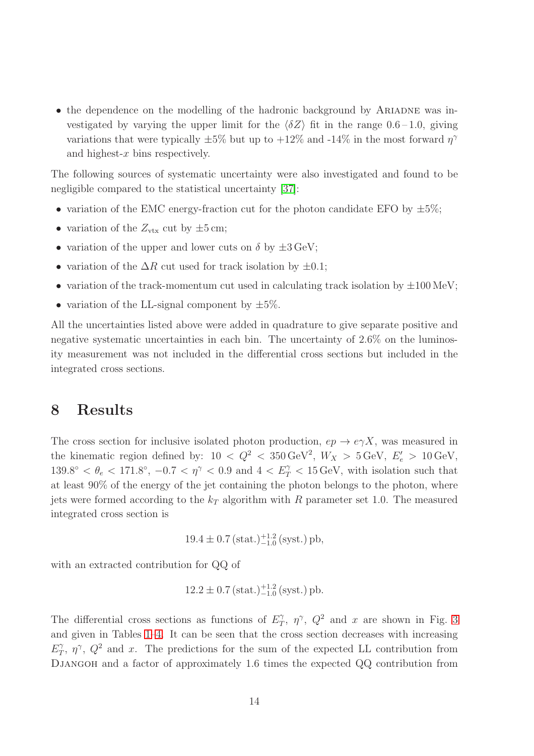• the dependence on the modelling of the hadronic background by ARIADNE was investigated by varying the upper limit for the  $\langle \delta Z \rangle$  fit in the range 0.6 – 1.0, giving variations that were typically  $\pm 5\%$  but up to  $+12\%$  and  $-14\%$  in the most forward  $\eta^{\gamma}$ and highest-x bins respectively.

The following sources of systematic uncertainty were also investigated and found to be negligible compared to the statistical uncertainty [37]:

- variation of the EMC energy-fraction cut for the photon candidate EFO by  $\pm 5\%$ ;
- variation of the  $Z_{\text{vtx}}$  cut by  $\pm 5$  cm;
- variation of the upper and lower cuts on  $\delta$  by  $\pm 3 \,\text{GeV}$ ;
- variation of the  $\Delta R$  cut used for track isolation by  $\pm 0.1$ ;
- variation of the track-momentum cut used in calculating track isolation by  $\pm 100 \,\mathrm{MeV}$ ;
- variation of the LL-signal component by  $\pm 5\%$ .

All the uncertainties listed above were added in quadrature to give separate positive and negative systematic uncertainties in each bin. The uncertainty of 2.6% on the luminosity measurement was not included in the differential cross sections but included in the integrated cross sections.

# 8 Results

The cross section for inclusive isolated photon production,  $ep \rightarrow e\gamma X$ , was measured in the kinematic region defined by:  $10 < Q^2 < 350 \,\text{GeV}^2$ ,  $W_X > 5 \,\text{GeV}$ ,  $E'_e > 10 \,\text{GeV}$ ,  $139.8^{\circ} < \theta_e < 171.8^{\circ}$ ,  $-0.7 < \eta^{\gamma} < 0.9$  and  $4 < E_T^{\gamma} < 15 \,\text{GeV}$ , with isolation such that at least 90% of the energy of the jet containing the photon belongs to the photon, where jets were formed according to the  $k_T$  algorithm with R parameter set 1.0. The measured integrated cross section is

$$
19.4 \pm 0.7 \, (\text{stat.})^{-1.2}_{-1.0} \, (\text{syst.}) \, \text{pb},
$$

with an extracted contribution for QQ of

$$
12.2 \pm 0.7 \, (\text{stat.})^{-1.2}_{-1.0} \, (\text{syst.}) \, \text{pb}.
$$

The differential cross sections as functions of  $E_T^{\gamma}$  $T$ ,  $\eta^{\gamma}$ ,  $Q^2$  and x are shown in Fig. [3](#page-22-0) and given in Tables [1–](#page-19-0)[4.](#page-19-1) It can be seen that the cross section decreases with increasing  $E_T^{\gamma}$  $T_T$ ,  $\eta^{\gamma}$ ,  $Q^2$  and x. The predictions for the sum of the expected LL contribution from DJANGOH and a factor of approximately 1.6 times the expected QQ contribution from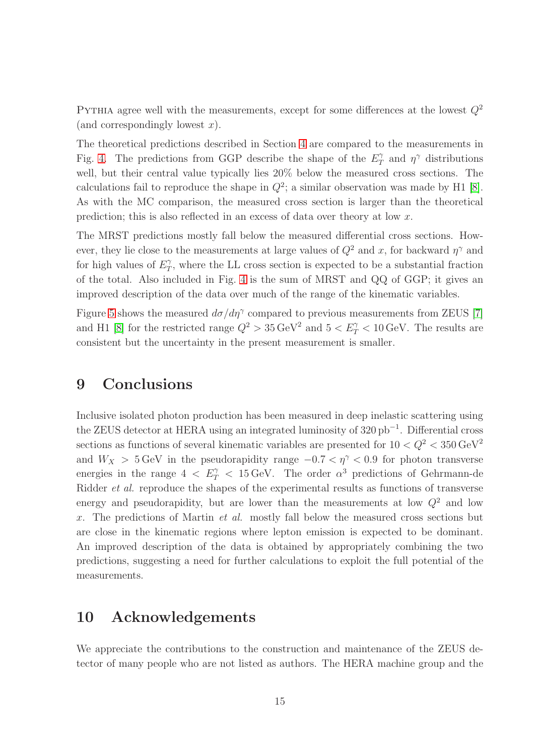PYTHIA agree well with the measurements, except for some differences at the lowest  $Q^2$ (and correspondingly lowest  $x$ ).

The theoretical predictions described in Section [4](#page-10-0) are compared to the measurements in Fig. [4.](#page-23-0) The predictions from GGP describe the shape of the  $E_T^{\gamma}$  $\gamma$  and  $\eta^{\gamma}$  distributions well, but their central value typically lies 20% below the measured cross sections. The calculations fail to reproduce the shape in  $Q^2$ ; a similar observation was made by H1 [8]. As with the MC comparison, the measured cross section is larger than the theoretical prediction; this is also reflected in an excess of data over theory at low x.

The MRST predictions mostly fall below the measured differential cross sections. However, they lie close to the measurements at large values of  $Q^2$  and x, for backward  $\eta^{\gamma}$  and for high values of  $E_T^{\gamma}$  $T_T$ , where the LL cross section is expected to be a substantial fraction of the total. Also included in Fig. [4](#page-23-0) is the sum of MRST and QQ of GGP; it gives an improved description of the data over much of the range of the kinematic variables.

Figure [5](#page-24-0) shows the measured  $d\sigma/d\eta^{\gamma}$  compared to previous measurements from ZEUS [7] and H1 [8] for the restricted range  $Q^2 > 35 \,\text{GeV}^2$  and  $5 < E_T^{\gamma} < 10 \,\text{GeV}$ . The results are consistent but the uncertainty in the present measurement is smaller.

# 9 Conclusions

Inclusive isolated photon production has been measured in deep inelastic scattering using the ZEUS detector at HERA using an integrated luminosity of 320 pb<sup>-1</sup>. Differential cross sections as functions of several kinematic variables are presented for  $10 < Q^2 < 350 \,\text{GeV}^2$ and  $W_X > 5$  GeV in the pseudorapidity range  $-0.7 < \eta^{\gamma} < 0.9$  for photon transverse energies in the range  $4 < E_T^{\gamma} < 15 \,\text{GeV}$ . The order  $\alpha^3$  predictions of Gehrmann-de Ridder et al. reproduce the shapes of the experimental results as functions of transverse energy and pseudorapidity, but are lower than the measurements at low  $Q^2$  and low x. The predictions of Martin  $et$  al. mostly fall below the measured cross sections but are close in the kinematic regions where lepton emission is expected to be dominant. An improved description of the data is obtained by appropriately combining the two predictions, suggesting a need for further calculations to exploit the full potential of the measurements.

# 10 Acknowledgements

We appreciate the contributions to the construction and maintenance of the ZEUS detector of many people who are not listed as authors. The HERA machine group and the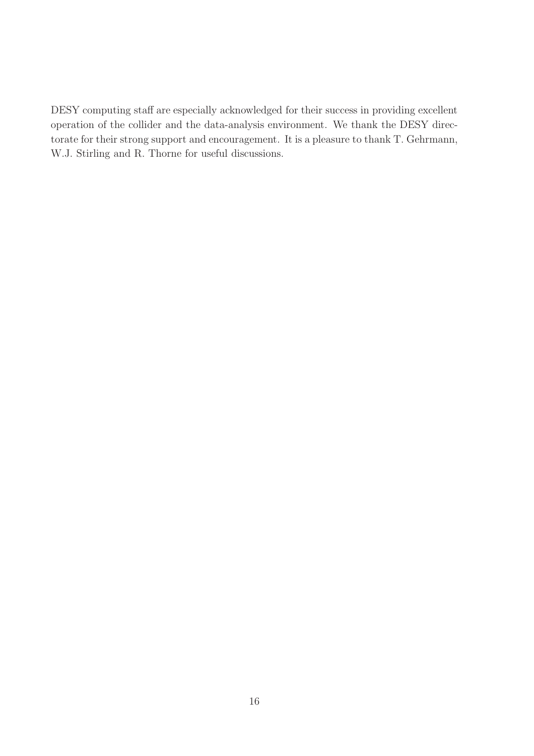DESY computing staff are especially acknowledged for their success in providing excellent operation of the collider and the data-analysis environment. We thank the DESY directorate for their strong support and encouragement. It is a pleasure to thank T. Gehrmann, W.J. Stirling and R. Thorne for useful discussions.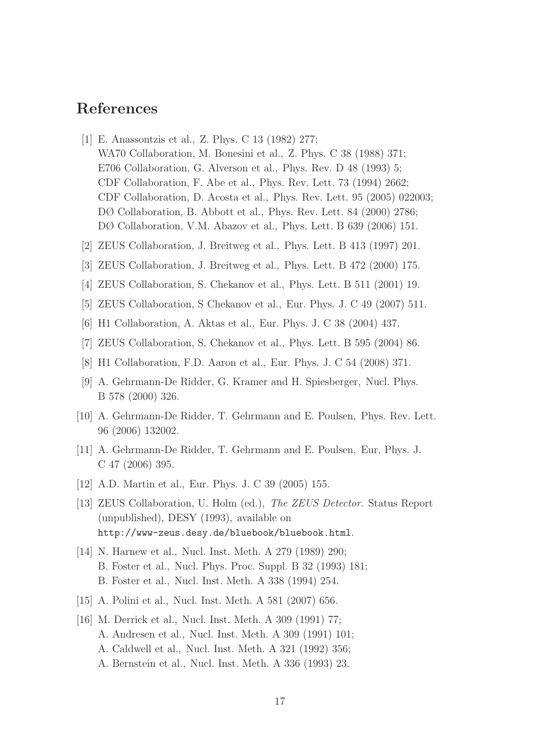# References

- [1] E. Anassontzis et al., Z. Phys. C 13 (1982) 277; WA70 Collaboration, M. Bonesini et al., Z. Phys. C 38 (1988) 371; E706 Collaboration, G. Alverson et al., Phys. Rev. D 48 (1993) 5; CDF Collaboration, F. Abe et al., Phys. Rev. Lett. 73 (1994) 2662; CDF Collaboration, D. Acosta et al., Phys. Rev. Lett. 95 (2005) 022003; DØ Collaboration, B. Abbott et al., Phys. Rev. Lett. 84 (2000) 2786; DØ Collaboration, V.M. Abazov et al., Phys. Lett. B 639 (2006) 151.
- [2] ZEUS Collaboration, J. Breitweg et al., Phys. Lett. B 413 (1997) 201.
- [3] ZEUS Collaboration, J. Breitweg et al., Phys. Lett. B 472 (2000) 175.
- [4] ZEUS Collaboration, S. Chekanov et al., Phys. Lett. B 511 (2001) 19.
- [5] ZEUS Collaboration, S Chekanov et al., Eur. Phys. J. C 49 (2007) 511.
- [6] H1 Collaboration, A. Aktas et al., Eur. Phys. J. C 38 (2004) 437.
- [7] ZEUS Collaboration, S. Chekanov et al., Phys. Lett. B 595 (2004) 86.
- [8] H1 Collaboration, F.D. Aaron et al., Eur. Phys. J. C 54 (2008) 371.
- [9] A. Gehrmann-De Ridder, G. Kramer and H. Spiesberger, Nucl. Phys. B 578 (2000) 326.
- [10] A. Gehrmann-De Ridder, T. Gehrmann and E. Poulsen, Phys. Rev. Lett. 96 (2006) 132002.
- [11] A. Gehrmann-De Ridder, T. Gehrmann and E. Poulsen, Eur. Phys. J. C 47 (2006) 395.
- [12] A.D. Martin et al., Eur. Phys. J. C 39 (2005) 155.
- [13] ZEUS Collaboration, U. Holm (ed.), The ZEUS Detector. Status Report (unpublished), DESY (1993), available on http://www-zeus.desy.de/bluebook/bluebook.html.
- [14] N. Harnew et al., Nucl. Inst. Meth. A 279 (1989) 290; B. Foster et al., Nucl. Phys. Proc. Suppl. B 32 (1993) 181; B. Foster et al., Nucl. Inst. Meth. A 338 (1994) 254.
- [15] A. Polini et al., Nucl. Inst. Meth. A 581 (2007) 656.
- [16] M. Derrick et al., Nucl. Inst. Meth. A 309 (1991) 77; A. Andresen et al., Nucl. Inst. Meth. A 309 (1991) 101; A. Caldwell et al., Nucl. Inst. Meth. A 321 (1992) 356; A. Bernstein et al., Nucl. Inst. Meth. A 336 (1993) 23.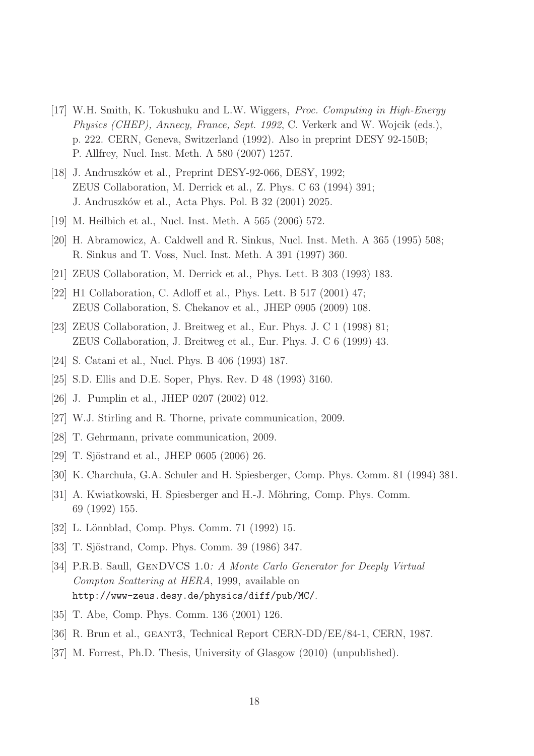- [17] W.H. Smith, K. Tokushuku and L.W. Wiggers, Proc. Computing in High-Energy Physics (CHEP), Annecy, France, Sept. 1992, C. Verkerk and W. Wojcik (eds.), p. 222. CERN, Geneva, Switzerland (1992). Also in preprint DESY 92-150B; P. Allfrey, Nucl. Inst. Meth. A 580 (2007) 1257.
- [18] J. Andruszków et al., Preprint DESY-92-066, DESY, 1992; ZEUS Collaboration, M. Derrick et al., Z. Phys. C 63 (1994) 391; J. Andruszk´ow et al., Acta Phys. Pol. B 32 (2001) 2025.
- [19] M. Heilbich et al., Nucl. Inst. Meth. A 565 (2006) 572.
- [20] H. Abramowicz, A. Caldwell and R. Sinkus, Nucl. Inst. Meth. A 365 (1995) 508; R. Sinkus and T. Voss, Nucl. Inst. Meth. A 391 (1997) 360.
- [21] ZEUS Collaboration, M. Derrick et al., Phys. Lett. B 303 (1993) 183.
- [22] H1 Collaboration, C. Adloff et al., Phys. Lett. B 517 (2001) 47; ZEUS Collaboration, S. Chekanov et al., JHEP 0905 (2009) 108.
- [23] ZEUS Collaboration, J. Breitweg et al., Eur. Phys. J. C 1 (1998) 81; ZEUS Collaboration, J. Breitweg et al., Eur. Phys. J. C 6 (1999) 43.
- [24] S. Catani et al., Nucl. Phys. B 406 (1993) 187.
- [25] S.D. Ellis and D.E. Soper, Phys. Rev. D 48 (1993) 3160.
- [26] J. Pumplin et al., JHEP 0207 (2002) 012.
- [27] W.J. Stirling and R. Thorne, private communication, 2009.
- [28] T. Gehrmann, private communication, 2009.
- [29] T. Sjöstrand et al., JHEP 0605 (2006) 26.
- [30] K. Charchula, G.A. Schuler and H. Spiesberger, Comp. Phys. Comm. 81 (1994) 381.
- [31] A. Kwiatkowski, H. Spiesberger and H.-J. Möhring, Comp. Phys. Comm. 69 (1992) 155.
- [32] L. Lönnblad, Comp. Phys. Comm. 71 (1992) 15.
- [33] T. Sjöstrand, Comp. Phys. Comm. 39 (1986) 347.
- [34] P.R.B. Saull, GenDVCS 1.0: A Monte Carlo Generator for Deeply Virtual Compton Scattering at HERA, 1999, available on http://www-zeus.desy.de/physics/diff/pub/MC/.
- [35] T. Abe, Comp. Phys. Comm. 136 (2001) 126.
- [36] R. Brun et al., GEANT3, Technical Report CERN-DD/EE/84-1, CERN, 1987.
- [37] M. Forrest, Ph.D. Thesis, University of Glasgow (2010) (unpublished).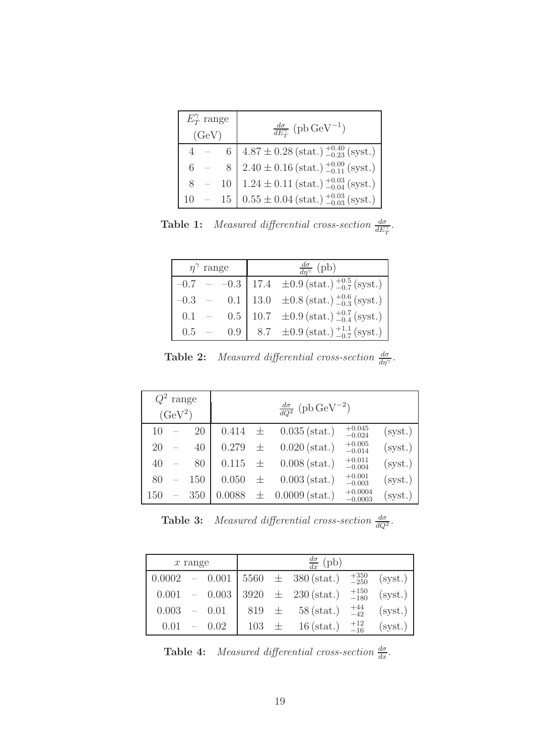| $E_T^{\gamma}$ range<br>(GeV) |  |  | $\frac{d\sigma}{dE_T^{\gamma}}$ (pb GeV <sup>-1</sup> )                                                                                                                                                                                                                 |
|-------------------------------|--|--|-------------------------------------------------------------------------------------------------------------------------------------------------------------------------------------------------------------------------------------------------------------------------|
|                               |  |  |                                                                                                                                                                                                                                                                         |
|                               |  |  |                                                                                                                                                                                                                                                                         |
| 8                             |  |  | $\begin{tabular}{c c} 6 & $4.87\pm0.28\,\text{(stat.)}\,\substack{+0.40\\-0.23}\,\text{(syst.)} \\ 8 & 2.40\pm0.16\,\text{(stat.)}\,\substack{+0.09\\-0.11}\,\text{(syst.)} \\ 10 & 1.24\pm0.11\,\text{(stat.)}\,\substack{+0.03\\-0.04}\,\text{(syst.)} \end{tabular}$ |
| $10 -$                        |  |  | $15\left[0.55 \pm 0.04\,\text{(stat.)}\,\substack{+0.03\\-0.03}\,\text{(syst.)}\right]$                                                                                                                                                                                 |

**Table 1:** Measured differential cross-section  $\frac{d\sigma}{dE_T^{\gamma}}$ .

<span id="page-19-0"></span>

| $\eta^{\gamma}$ range |  |  | $\frac{d\sigma}{dn^{\gamma}}$ (pb) |                                                                                                                                                           |  |  |
|-----------------------|--|--|------------------------------------|-----------------------------------------------------------------------------------------------------------------------------------------------------------|--|--|
|                       |  |  |                                    | $-0.7$ - $-0.3$ 17.4 $\pm 0.9$ (stat.) $^{+0.5}_{-0.7}$ (syst.)                                                                                           |  |  |
|                       |  |  |                                    |                                                                                                                                                           |  |  |
|                       |  |  |                                    | $-0.3$ - 0.1 13.0 $\pm 0.8 \text{ (stat.)}$ $^{+0.6}_{-0.3} \text{ (syst.)}$<br>0.1 - 0.5 10.7 $\pm 0.9 \text{ (stat.)}$ $^{+0.6}_{-0.4} \text{ (syst.)}$ |  |  |
| 0.5                   |  |  |                                    | 0.9 8.7 $\pm 0.9$ (stat.) $^{+1.1}_{-0.7}$ (syst.)                                                                                                        |  |  |

**Table 2:** Measured differential cross-section  $\frac{d\sigma}{d\eta\gamma}$ .

| $Q^2$ range<br>$(GeV^2)$ |  |     |             |   | $\frac{d\sigma}{dQ^2}$ (pb GeV <sup>-2</sup> ) |                        |         |
|--------------------------|--|-----|-------------|---|------------------------------------------------|------------------------|---------|
| 10                       |  | 20  | 0.414       | 土 | $0.035$ (stat.)                                | $+0.045$<br>$-0.024$   | (syst.) |
| 20                       |  | 40  | 0.279       | 士 | $0.020$ (stat.)                                | $+0.005$<br>$-0.014$   | (syst.) |
| 40                       |  | 80  | $0.115 \pm$ |   | $0.008$ (stat.)                                | $+0.011$<br>$-0.004$   | (syst.) |
| 80                       |  | 150 | 0.050       | 士 | $0.003$ (stat.)                                | $+0.001$<br>$-0.003$   | (syst.) |
| 150                      |  | 350 | 0.0088      | 士 | $0.0009$ (stat.)                               | $+0.0004$<br>$-0.0003$ | (syst.) |

|  |  |  | <b>Table 3:</b> Measured differential cross-section $\frac{d\sigma}{dQ^2}$ |  |
|--|--|--|----------------------------------------------------------------------------|--|
|--|--|--|----------------------------------------------------------------------------|--|

.

| $x$ range |  |          |           |  | $\frac{d\sigma}{dx}$ (pb)       |                  |         |  |
|-----------|--|----------|-----------|--|---------------------------------|------------------|---------|--|
|           |  |          |           |  |                                 |                  |         |  |
| 0.0002    |  | $-0.001$ |           |  | $15560 \pm 380 \text{ (stat.)}$ | $+350\n-250$     | (syst.) |  |
| 0.001     |  | $-0.003$ |           |  | $3920 \pm 230 \text{ (stat.)}$  | $^{+150}_{-180}$ | (syst.) |  |
| 0.003     |  | $- 0.01$ |           |  | $819 \pm 58 \text{ (stat.)}$    | $^{+44}_{-42}$   | (syst.) |  |
| 0.01      |  | 0.02     | $103 \pm$ |  | $16$ (stat.)                    | $^{+12}_{-16}$   | (syst.) |  |

<span id="page-19-1"></span>**Table 4:** Measured differential cross-section  $\frac{d\sigma}{dx}$ .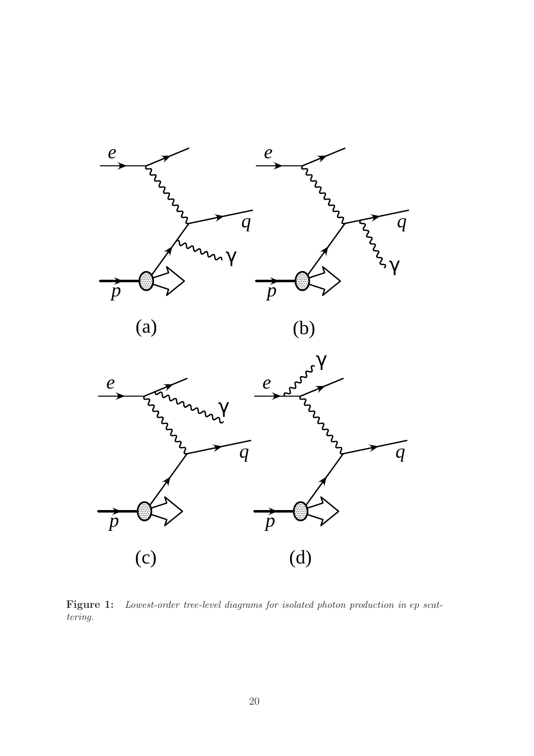

(a)

(b)



<span id="page-20-0"></span>Figure 1: Lowest-order tree-level diagrams for isolated photon production in ep scattering.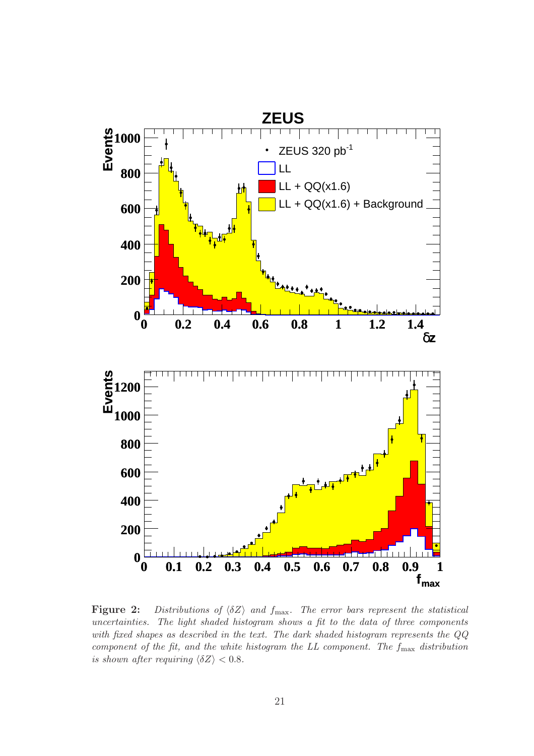

<span id="page-21-0"></span>Figure 2: Distributions of  $\langle \delta Z \rangle$  and  $f_{\text{max}}$ . The error bars represent the statistical uncertainties. The light shaded histogram shows a fit to the data of three components with fixed shapes as described in the text. The dark shaded histogram represents the QQ component of the fit, and the white histogram the LL component. The  $f_{\text{max}}$  distribution is shown after requiring  $\langle \delta Z \rangle < 0.8$ .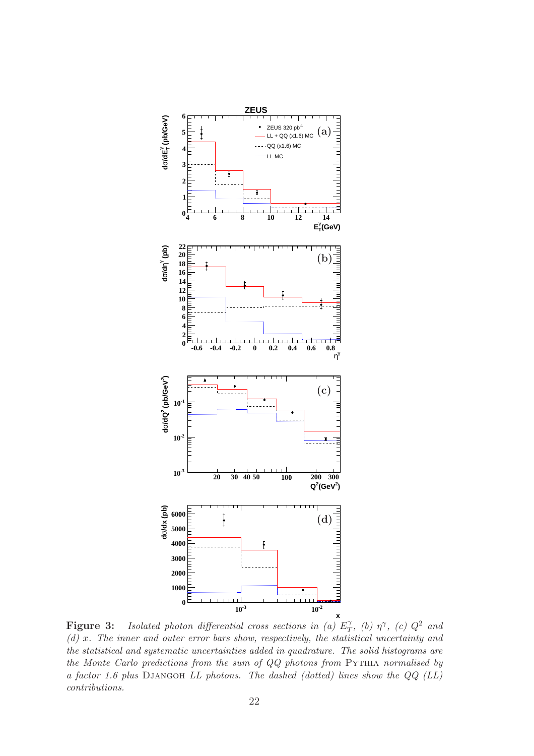

<span id="page-22-0"></span>**Figure 3:** Isolated photon differential cross sections in (a)  $E_T^{\gamma}$  $T$ , (b)  $\eta^{\gamma}$ , (c)  $Q^2$  and (d) x. The inner and outer error bars show, respectively, the statistical uncertainty and the statistical and systematic uncertainties added in quadrature. The solid histograms are the Monte Carlo predictions from the sum of  $QQ$  photons from PYTHIA normalised by a factor 1.6 plus Djangoh LL photons. The dashed (dotted) lines show the QQ (LL) contributions.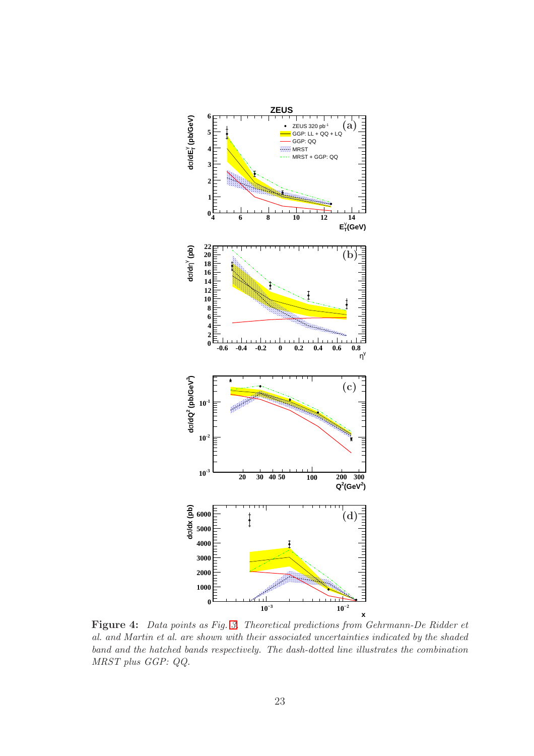

<span id="page-23-0"></span>Figure 4: Data points as Fig. [3.](#page-22-0) Theoretical predictions from Gehrmann-De Ridder et al. and Martin et al. are shown with their associated uncertainties indicated by the shaded band and the hatched bands respectively. The dash-dotted line illustrates the combination MRST plus GGP: QQ.